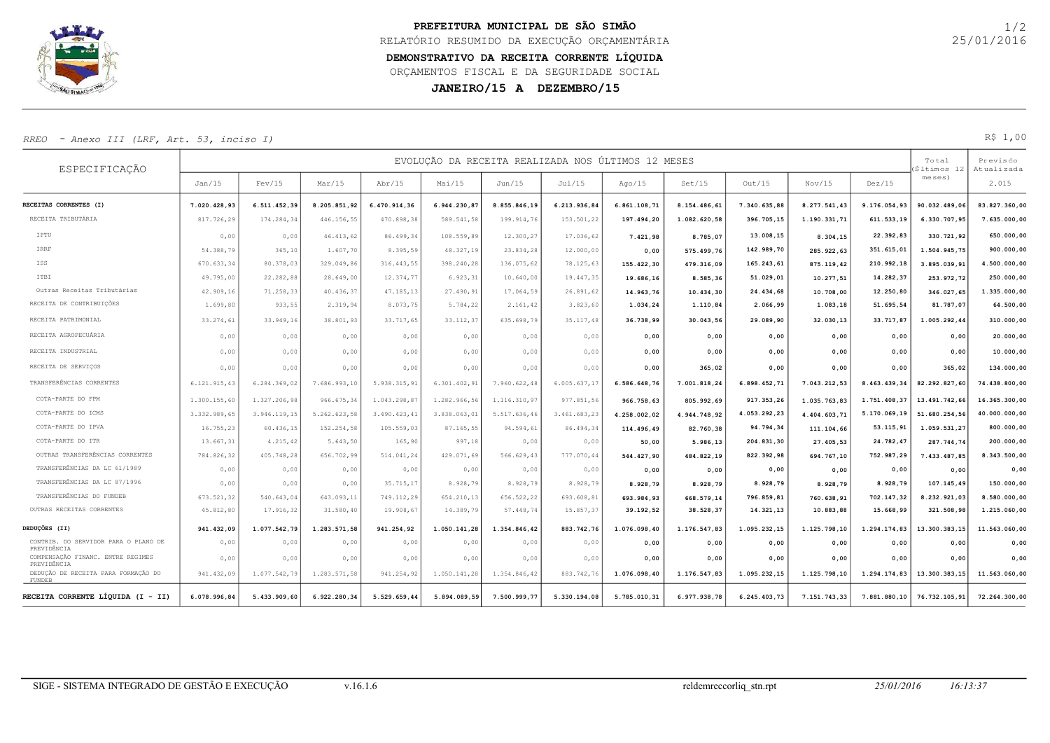

## DEMONSTRATIVO DA RECEITA CORRENTE LÍQUIDA PREFEITURA MUNICIPAL DE SÃO SIMÃO RELATÓRIO RESUMIDO DA EXECUÇÃO ORÇAMENTÁRIA ORÇAMENTOS FISCAL E DA SEGURIDADE SOCIAL

## RREO - Anexo III (LRF, Art. 53, inciso I) R\$ 1,00

|                                                     |                        |                        |                        |                        |                                          |                        | PREFEITURA MUNICIPAL DE SÃO SIMÃO | RELATÓRIO RESUMIDO DA EXECUÇÃO ORÇAMENTÁRIA                  |                       |                         |                       |                         |                              | 1/2<br>25/01/2016               |
|-----------------------------------------------------|------------------------|------------------------|------------------------|------------------------|------------------------------------------|------------------------|-----------------------------------|--------------------------------------------------------------|-----------------------|-------------------------|-----------------------|-------------------------|------------------------------|---------------------------------|
|                                                     |                        |                        |                        |                        | ORÇAMENTOS FISCAL E DA SEGURIDADE SOCIAL |                        | JANEIRO/15 A DEZEMBRO/15          | DEMONSTRATIVO DA RECEITA CORRENTE LÍQUIDA                    |                       |                         |                       |                         |                              |                                 |
| - Anexo III (LRF, Art. 53, inciso I)<br>RREO        |                        |                        |                        |                        |                                          |                        |                                   |                                                              |                       |                         |                       |                         |                              | R\$1,00                         |
| ESPECIFICAÇÃO                                       | Jan/15                 | Fev/15                 | Mar/15                 | $\rm Abr/15$           | Mai/15                                   | Jun/15                 | Jul/15                            | EVOLUÇÃO DA RECEITA REALIZADA NOS ÚLTIMOS 12 MESES<br>Ago/15 | Set/15                | Out/15                  | Nov/15                | Dez/15                  | Total<br>ltimos 1<br>meses)  | Previsćo<br>Atualizada<br>2.015 |
|                                                     |                        |                        |                        |                        |                                          |                        |                                   |                                                              |                       |                         |                       |                         |                              |                                 |
| RECEITAS CORRENTES (I)<br>RECEITA TRIBUTÁRIA        | 7.020.428,93           | 6.511.452,39           | 8.205.851,92           | 6.470.914,36           | 6.944.230,87                             | 8.855.846,19           | 6.213.936,84                      | 6.861.108,71                                                 | 8.154.486,61          | 7.340.635,88            | 8.277.541,43          | 9.176.054,93            | 90.032.489,00                | 83.827.360,00                   |
|                                                     | 817.726,29             | 174.284,34             | 446.156,55             | 470.898,38             | 589.541,58                               | 199.914,76             | 153.501,22                        | 197.494,20                                                   | 1.082.620,58          | 396.705,15              | 1.190.331,71          | 611.533,19              | 6.330.707,95                 | 7.635.000,00                    |
| IPTU                                                | 0,00                   | 0,00                   | 46.413,62              | 86.499,34              | 108.559,89                               | 12.300,27              | 17.036,62                         | 7.421,98                                                     | 8.785,07              | 13.008,15               | 8.304,15              | 22.392,83               | 330.721,92                   | 650.000,00                      |
| IRRF<br>ISS                                         | 54.388,79              | 365,10                 | 1.607,70               | 8.395,59               | 48.327,19                                | 23.834,28              | 12.000,00                         | 0,00                                                         | 575.499,76            | 142.989,70              | 285.922,63            | 351.615,01              | 1.504.945,75                 | 900.000,00                      |
| ITBI                                                | 670.633,34             | 80.378,03              | 329.049,86             | 316.443,55<br>12.374,7 | 398.240,28                               | 136.075,62             | 78.125,63                         | 155.422,30                                                   | 479.316,09            | 165.243,61<br>51.029,01 | 875.119,42            | 210.992,18<br>14.282,37 | 3.895.039,9                  | 4.500.000,00<br>250.000,00      |
| Outras Receitas Tributárias                         | 49.795,00<br>42.909,16 | 22.282,88<br>71.258,33 | 28.649,00<br>40.436,37 | 47.185,13              | 6.923, 31<br>27.490,91                   | 10.640,00<br>17.064,59 | 19.447,35<br>26.891,62            | 19.686,16                                                    | 8.585,36              | 24.434,68               | 10.277,51             | 12.250,80               | 253.972,72<br>346.027,65     | 1.335.000,00                    |
| RECEITA DE CONTRIBUIÇÕES                            | 1.699,80               | 933,55                 | 2.319,94               | 8.073,75               | 5.784,22                                 | 2.161,42               | 3.823,60                          | 14.963,76<br>1.034,24                                        | 10.434,30<br>1.110,84 | 2.066,99                | 10.708,00<br>1.083,18 | 51.695,54               | 81.787,07                    | 64.500,00                       |
| RECEITA PATRIMONIAL                                 | 33.274,61              | 33.949,16              | 38.801,93              | 33.717,65              | 33.112,37                                | 635.698,79             | 35.117,48                         | 36.738,99                                                    | 30.043,56             | 29.089,90               | 32.030,13             | 33.717,87               | 1.005.292,44                 | 310.000,00                      |
| RECEITA AGROPECUÁRIA                                |                        |                        |                        |                        |                                          |                        |                                   |                                                              |                       |                         |                       |                         |                              |                                 |
|                                                     | 0,00                   | 0,00                   | 0,00                   | 0,00                   | 0,00                                     | 0,00                   | 0,00                              | 0,00                                                         | 0,00                  | 0,00                    | 0,00                  | 0,00                    | 0,00                         | 20.000,00                       |
| RECEITA INDUSTRIAL                                  | 0,00                   | 0,00                   | 0,00                   | 0,00                   | 0,00                                     | 0,00                   | 0,00                              | 0,00                                                         | 0,00                  | 0,00                    | 0,00                  | 0,00                    | 0,00                         | 10.000,00                       |
| RECEITA DE SERVIÇOS                                 | 0,00                   | 0,00                   | 0,00                   | 0,00                   | 0,00                                     | 0,00                   | 0,00                              | 0,00                                                         | 365,02                | 0,00                    | 0,00                  | 0,00                    | 365,02                       | 134.000,00                      |
| TRANSFERÊNCIAS CORRENTES                            | 6.121.915,43           | 6.284.369,02           | 7.686.993,10           | 5.938.315,9            | 6.301.402,91                             | 7.960.622,48           | 6.005.637,17                      | 6.586.648,76                                                 | 7.001.818,24          | 6.898.452,71            | 7.043.212,53          | 8.463.439,34            | 82.292.827,60                | 74.438.800,00                   |
| COTA-PARTE DO FPM                                   | 1.300.155,60           | 1.327.206,98           | 966.675,34             | 1.043.298,8            | 1.282.966,56                             | 1.116.310,97           | 977.851,56                        | 966.758,63                                                   | 805.992,69            | 917.353,26              | 1.035.763,83          | 1.751.408,37            | 13.491.742,60                | 16.365.300,00                   |
| COTA-PARTE DO ICMS                                  | 3.332.989,65           | 3.946.119,15           | 5.262.623,58           | 3.490.423,41           | 3.838.063,01                             | 5.517.636,46           | 3.461.683,23                      | 4.258.002,02                                                 | 4.944.748,92          | 4.053.292,23            | 4.404.603,71          | 5.170.069,19            | 51.680.254,56                | 40.000.000,00                   |
| COTA-PARTE DO IPVA                                  | 16.755,23              | 60.436,15              | 152.254,58             | 105.559,03             | 87.165,55                                | 94.594,61              | 86.494,34                         | 114.496,49                                                   | 82.760,38             | 94.794,34               | 111.104,66            | 53.115,91               | 1.059.531,27                 | 800.000,00                      |
| COTA-PARTE DO ITR                                   | 13.667,31              | 4.215,42               | 5.643,50               | 165,90                 | 997,18                                   | 0,00                   | 0,00                              | 50,00                                                        | 5.986,13              | 204.831,30              | 27.405,53             | 24.782,47               | 287.744,74                   | 200.000,00                      |
| OUTRAS TRANSFERÊNCIAS CORRENTES                     | 784.826,32             | 405.748,28             | 656.702,99             | 514.041,24             | 429.071,69                               | 566.629,43             | 777.070,44                        | 544.427,90                                                   | 484.822,19            | 822.392,98              | 694.767,10            | 752.987,29              | 7.433.487,85                 | 8.343.500,00                    |
| TRANSFERÊNCIAS DA LC 61/1989                        | 0,00                   | 0,00                   | 0,00                   | 0,00                   | 0,00                                     | 0,00                   | 0,00                              | 0,00                                                         | 0,00                  | 0,00                    | 0,00                  | 0,00                    | 0,00                         | 0,00                            |
| TRANSFERÊNCIAS DA LC 87/1996                        | 0,00                   | 0,00                   | 0,00                   | 35.715,17              | 8.928,79                                 | 8.928,79               | 8.928,79                          | 8.928,79                                                     | 8.928,79              | 8.928,79                | 8.928,79              | 8.928,79                | 107.145,49                   | 150.000,00                      |
| TRANSFERÊNCIAS DO FUNDEB                            | 673.521,32             | 540.643,04             | 643.093,11             | 749.112,29             | 654.210,13                               | 656.522,22             | 693.608,81                        | 693.984,93                                                   | 668.579,14            | 796.859,81              | 760.638,91            | 702.147,32              | 8.232.921,03                 | 8.580.000,00                    |
| OUTRAS RECEITAS CORRENTES                           | 45.812,80              | 17.916,32              | 31.580,40              | 19.908,67              | 14.389,79                                | 57.448,74              | 15.857,37                         | 39.192,52                                                    | 38.528,37             | 14.321,13               | 10.883,88             | 15.668,99               | 321.508,98                   | 1.215.060,00                    |
| <b>DEDUÇÕES (II)</b>                                | 941.432,09             | 1.077.542,79           | 1.283.571,58           | 941.254,92             | 1.050.141,28                             | 1.354.846,42           | 883.742,76                        | 1.076.098,40                                                 | 1.176.547,83          | 1.095.232,15            | 1.125.798,10          | 1.294.174,83            | 13.300.383,15                | 11.563.060,00                   |
| CONTRIB. DO SERVIDOR PARA O PLANO DE<br>PREVIDÊNCIA | 0,00                   | 0,00                   | 0,00                   | 0,00                   | 0,00                                     | 0,00                   | 0,00                              | 0,00                                                         | 0,00                  | 0,00                    | 0,00                  | 0,00                    | 0,00                         | 0,00                            |
| COMPENSAÇÃO FINANC. ENTRE REGIMES                   | 0,00                   | 0,00                   | 0,00                   | 0,00                   | 0,00                                     | 0,00                   | 0,00                              | 0,00                                                         | 0,00                  | 0,00                    | 0,00                  | 0,00                    | 0,00                         | 0,00                            |
| PREVIDÊNCIA                                         |                        |                        |                        |                        |                                          |                        |                                   |                                                              |                       |                         |                       |                         |                              |                                 |
| DEDUÇÃO DE RECEITA PARA FORMAÇÃO DO<br>FUNDEB       | 941.432,09             | 1.077.542,79           | 1.283.571,58           | 941.254,92             | 1.050.141,28                             | 1.354.846,42           | 883.742,76                        | 1.076.098,40                                                 | 1.176.547,83          | 1.095.232,15            | 1.125.798,10          |                         | $1.294.174,83$ 13.300.383,15 | 11.563.060,00                   |